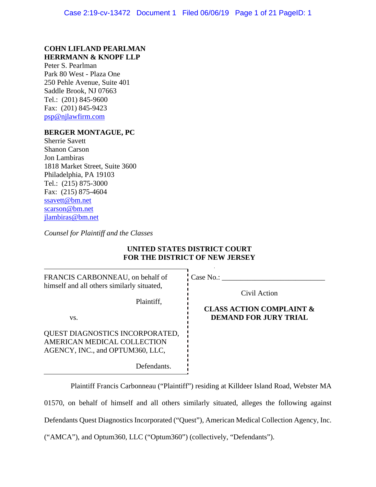## **COHN LIFLAND PEARLMAN HERRMANN & KNOPF LLP**

Peter S. Pearlman Park 80 West - Plaza One 250 Pehle Avenue, Suite 401 Saddle Brook, NJ 07663 Tel.: (201) 845-9600 Fax: (201) 845-9423 psp@njlawfirm.com

## **BERGER MONTAGUE, PC**

Sherrie Savett Shanon Carson Jon Lambiras 1818 Market Street, Suite 3600 Philadelphia, PA 19103 Tel.: (215) 875-3000 Fax: (215) 875-4604 ssavett@bm.net scarson@bm.net jlambiras@bm.net

*Counsel for Plaintiff and the Classes* 

# **UNITED STATES DISTRICT COURT FOR THE DISTRICT OF NEW JERSEY**

| FRANCIS CARBONNEAU, on behalf of                                                                                  | Case No.:                           |
|-------------------------------------------------------------------------------------------------------------------|-------------------------------------|
| himself and all others similarly situated,                                                                        | Civil Action                        |
| Plaintiff,                                                                                                        | <b>CLASS ACTION COMPLAINT &amp;</b> |
| VS.                                                                                                               | <b>DEMAND FOR JURY TRIAL</b>        |
| QUEST DIAGNOSTICS INCORPORATED,<br>AMERICAN MEDICAL COLLECTION<br>AGENCY, INC., and OPTUM360, LLC,<br>Defendants. |                                     |

Plaintiff Francis Carbonneau ("Plaintiff") residing at Killdeer Island Road, Webster MA 01570, on behalf of himself and all others similarly situated, alleges the following against Defendants Quest Diagnostics Incorporated ("Quest"), American Medical Collection Agency, Inc. ("AMCA"), and Optum360, LLC ("Optum360") (collectively, "Defendants").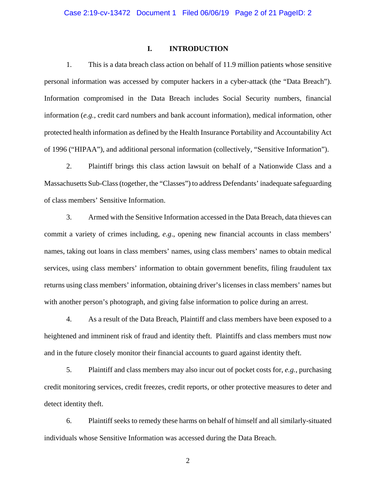## **I. INTRODUCTION**

1. This is a data breach class action on behalf of 11.9 million patients whose sensitive personal information was accessed by computer hackers in a cyber-attack (the "Data Breach"). Information compromised in the Data Breach includes Social Security numbers, financial information (*e.g.*, credit card numbers and bank account information), medical information, other protected health information as defined by the Health Insurance Portability and Accountability Act of 1996 ("HIPAA"), and additional personal information (collectively, "Sensitive Information").

2. Plaintiff brings this class action lawsuit on behalf of a Nationwide Class and a Massachusetts Sub-Class (together, the "Classes") to address Defendants' inadequate safeguarding of class members' Sensitive Information.

3. Armed with the Sensitive Information accessed in the Data Breach, data thieves can commit a variety of crimes including, *e.g*., opening new financial accounts in class members' names, taking out loans in class members' names, using class members' names to obtain medical services, using class members' information to obtain government benefits, filing fraudulent tax returns using class members' information, obtaining driver's licenses in class members' names but with another person's photograph, and giving false information to police during an arrest.

4. As a result of the Data Breach, Plaintiff and class members have been exposed to a heightened and imminent risk of fraud and identity theft. Plaintiffs and class members must now and in the future closely monitor their financial accounts to guard against identity theft.

5. Plaintiff and class members may also incur out of pocket costs for, *e.g.*, purchasing credit monitoring services, credit freezes, credit reports, or other protective measures to deter and detect identity theft.

6. Plaintiff seeks to remedy these harms on behalf of himself and all similarly-situated individuals whose Sensitive Information was accessed during the Data Breach.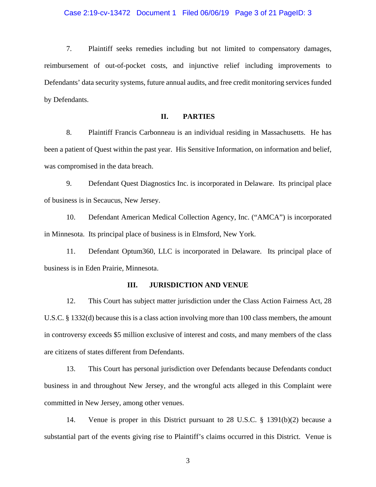### Case 2:19-cv-13472 Document 1 Filed 06/06/19 Page 3 of 21 PageID: 3

7. Plaintiff seeks remedies including but not limited to compensatory damages, reimbursement of out-of-pocket costs, and injunctive relief including improvements to Defendants' data security systems, future annual audits, and free credit monitoring services funded by Defendants.

## **II. PARTIES**

8. Plaintiff Francis Carbonneau is an individual residing in Massachusetts. He has been a patient of Quest within the past year. His Sensitive Information, on information and belief, was compromised in the data breach.

9. Defendant Quest Diagnostics Inc. is incorporated in Delaware. Its principal place of business is in Secaucus, New Jersey.

10. Defendant American Medical Collection Agency, Inc. ("AMCA") is incorporated in Minnesota. Its principal place of business is in Elmsford, New York.

11. Defendant Optum360, LLC is incorporated in Delaware. Its principal place of business is in Eden Prairie, Minnesota.

## **III. JURISDICTION AND VENUE**

12. This Court has subject matter jurisdiction under the Class Action Fairness Act, 28 U.S.C. § 1332(d) because this is a class action involving more than 100 class members, the amount in controversy exceeds \$5 million exclusive of interest and costs, and many members of the class are citizens of states different from Defendants.

13. This Court has personal jurisdiction over Defendants because Defendants conduct business in and throughout New Jersey, and the wrongful acts alleged in this Complaint were committed in New Jersey, among other venues.

14. Venue is proper in this District pursuant to 28 U.S.C. § 1391(b)(2) because a substantial part of the events giving rise to Plaintiff's claims occurred in this District. Venue is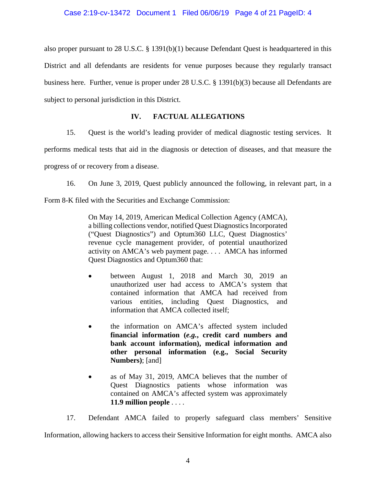also proper pursuant to 28 U.S.C. § 1391(b)(1) because Defendant Quest is headquartered in this District and all defendants are residents for venue purposes because they regularly transact business here. Further, venue is proper under 28 U.S.C. § 1391(b)(3) because all Defendants are subject to personal jurisdiction in this District.

# **IV. FACTUAL ALLEGATIONS**

15. Quest is the world's leading provider of medical diagnostic testing services. It

performs medical tests that aid in the diagnosis or detection of diseases, and that measure the

progress of or recovery from a disease.

16. On June 3, 2019, Quest publicly announced the following, in relevant part, in a

Form 8-K filed with the Securities and Exchange Commission:

On May 14, 2019, American Medical Collection Agency (AMCA), a billing collections vendor, notified Quest Diagnostics Incorporated ("Quest Diagnostics") and Optum360 LLC, Quest Diagnostics' revenue cycle management provider, of potential unauthorized activity on AMCA's web payment page. . . . AMCA has informed Quest Diagnostics and Optum360 that:

- between August 1, 2018 and March 30, 2019 an unauthorized user had access to AMCA's system that contained information that AMCA had received from various entities, including Quest Diagnostics, and information that AMCA collected itself;
- the information on AMCA's affected system included **financial information (***e.g.***, credit card numbers and bank account information), medical information and other personal information (e.g., Social Security Numbers)**; [and]
- as of May 31, 2019, AMCA believes that the number of Quest Diagnostics patients whose information was contained on AMCA's affected system was approximately **11.9 million people** . . . .

17. Defendant AMCA failed to properly safeguard class members' Sensitive Information, allowing hackers to access their Sensitive Information for eight months. AMCA also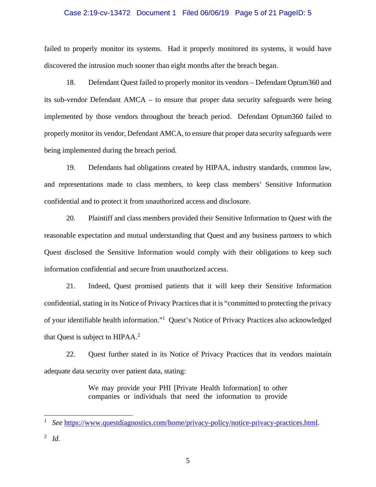#### Case 2:19-cv-13472 Document 1 Filed 06/06/19 Page 5 of 21 PageID: 5

failed to properly monitor its systems. Had it properly monitored its systems, it would have discovered the intrusion much sooner than eight months after the breach began.

18. Defendant Quest failed to properly monitor its vendors – Defendant Optum360 and its sub-vendor Defendant AMCA – to ensure that proper data security safeguards were being implemented by those vendors throughout the breach period. Defendant Optum360 failed to properly monitor its vendor, Defendant AMCA, to ensure that proper data security safeguards were being implemented during the breach period.

19. Defendants had obligations created by HIPAA, industry standards, common law, and representations made to class members, to keep class members' Sensitive Information confidential and to protect it from unauthorized access and disclosure.

20. Plaintiff and class members provided their Sensitive Information to Quest with the reasonable expectation and mutual understanding that Quest and any business partners to which Quest disclosed the Sensitive Information would comply with their obligations to keep such information confidential and secure from unauthorized access.

21. Indeed, Quest promised patients that it will keep their Sensitive Information confidential, stating in its Notice of Privacy Practices that it is "committed to protecting the privacy of your identifiable health information."1 Quest's Notice of Privacy Practices also acknowledged that Quest is subject to HIPAA.<sup>2</sup>

22. Quest further stated in its Notice of Privacy Practices that its vendors maintain adequate data security over patient data, stating:

> We may provide your PHI [Private Health Information] to other companies or individuals that need the information to provide

l

<sup>1</sup> *See* https://www.questdiagnostics.com/home/privacy-policy/notice-privacy-practices.html.

<sup>2</sup> *Id*.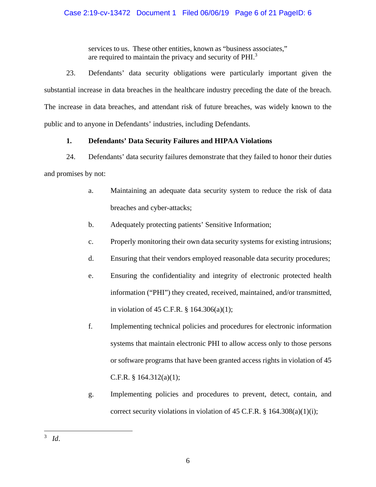services to us. These other entities, known as "business associates," are required to maintain the privacy and security of PHI.<sup>3</sup>

23. Defendants' data security obligations were particularly important given the substantial increase in data breaches in the healthcare industry preceding the date of the breach. The increase in data breaches, and attendant risk of future breaches, was widely known to the public and to anyone in Defendants' industries, including Defendants.

# **1. Defendants' Data Security Failures and HIPAA Violations**

24. Defendants' data security failures demonstrate that they failed to honor their duties and promises by not:

- a. Maintaining an adequate data security system to reduce the risk of data breaches and cyber-attacks;
- b. Adequately protecting patients' Sensitive Information;
- c. Properly monitoring their own data security systems for existing intrusions;
- d. Ensuring that their vendors employed reasonable data security procedures;
- e. Ensuring the confidentiality and integrity of electronic protected health information ("PHI") they created, received, maintained, and/or transmitted, in violation of 45 C.F.R. § 164.306(a)(1);
- f. Implementing technical policies and procedures for electronic information systems that maintain electronic PHI to allow access only to those persons or software programs that have been granted access rights in violation of 45 C.F.R. § 164.312(a)(1);
- g. Implementing policies and procedures to prevent, detect, contain, and correct security violations in violation of 45 C.F.R.  $\S$  164.308(a)(1)(i);

 $\overline{a}$ 3 *Id*.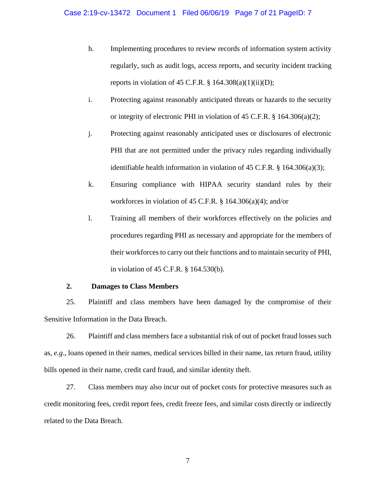## Case 2:19-cv-13472 Document 1 Filed 06/06/19 Page 7 of 21 PageID: 7

- h. Implementing procedures to review records of information system activity regularly, such as audit logs, access reports, and security incident tracking reports in violation of 45 C.F.R.  $\S$  164.308(a)(1)(ii)(D);
- i. Protecting against reasonably anticipated threats or hazards to the security or integrity of electronic PHI in violation of 45 C.F.R. § 164.306(a)(2);
- j. Protecting against reasonably anticipated uses or disclosures of electronic PHI that are not permitted under the privacy rules regarding individually identifiable health information in violation of 45 C.F.R.  $\S$  164.306(a)(3);
- k. Ensuring compliance with HIPAA security standard rules by their workforces in violation of 45 C.F.R. § 164.306(a)(4); and/or
- l. Training all members of their workforces effectively on the policies and procedures regarding PHI as necessary and appropriate for the members of their workforces to carry out their functions and to maintain security of PHI, in violation of 45 C.F.R. § 164.530(b).

## **2. Damages to Class Members**

25. Plaintiff and class members have been damaged by the compromise of their Sensitive Information in the Data Breach.

26. Plaintiff and class members face a substantial risk of out of pocket fraud losses such as, *e.g*., loans opened in their names, medical services billed in their name, tax return fraud, utility bills opened in their name, credit card fraud, and similar identity theft.

27. Class members may also incur out of pocket costs for protective measures such as credit monitoring fees, credit report fees, credit freeze fees, and similar costs directly or indirectly related to the Data Breach.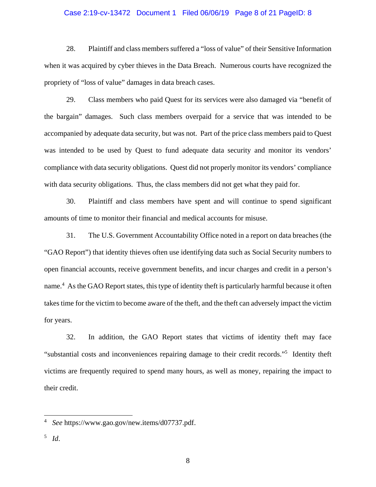#### Case 2:19-cv-13472 Document 1 Filed 06/06/19 Page 8 of 21 PageID: 8

28. Plaintiff and class members suffered a "loss of value" of their Sensitive Information when it was acquired by cyber thieves in the Data Breach. Numerous courts have recognized the propriety of "loss of value" damages in data breach cases.

29. Class members who paid Quest for its services were also damaged via "benefit of the bargain" damages. Such class members overpaid for a service that was intended to be accompanied by adequate data security, but was not. Part of the price class members paid to Quest was intended to be used by Quest to fund adequate data security and monitor its vendors' compliance with data security obligations. Quest did not properly monitor its vendors' compliance with data security obligations. Thus, the class members did not get what they paid for.

30. Plaintiff and class members have spent and will continue to spend significant amounts of time to monitor their financial and medical accounts for misuse.

31. The U.S. Government Accountability Office noted in a report on data breaches (the "GAO Report") that identity thieves often use identifying data such as Social Security numbers to open financial accounts, receive government benefits, and incur charges and credit in a person's name.<sup>4</sup> As the GAO Report states, this type of identity theft is particularly harmful because it often takes time for the victim to become aware of the theft, and the theft can adversely impact the victim for years.

32. In addition, the GAO Report states that victims of identity theft may face "substantial costs and inconveniences repairing damage to their credit records."5 Identity theft victims are frequently required to spend many hours, as well as money, repairing the impact to their credit.

l

<sup>4</sup> *See* https://www.gao.gov/new.items/d07737.pdf.

<sup>5</sup> *Id*.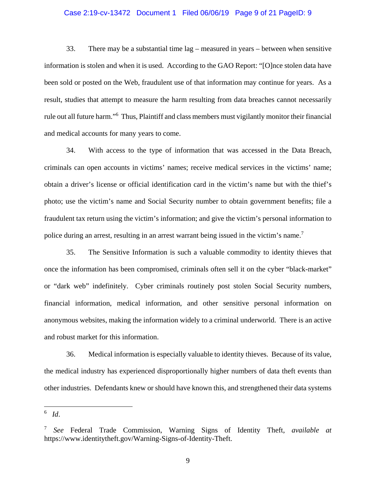#### Case 2:19-cv-13472 Document 1 Filed 06/06/19 Page 9 of 21 PageID: 9

33. There may be a substantial time lag – measured in years – between when sensitive information is stolen and when it is used. According to the GAO Report: "[O]nce stolen data have been sold or posted on the Web, fraudulent use of that information may continue for years. As a result, studies that attempt to measure the harm resulting from data breaches cannot necessarily rule out all future harm."<sup>6</sup> Thus, Plaintiff and class members must vigilantly monitor their financial and medical accounts for many years to come.

34. With access to the type of information that was accessed in the Data Breach, criminals can open accounts in victims' names; receive medical services in the victims' name; obtain a driver's license or official identification card in the victim's name but with the thief's photo; use the victim's name and Social Security number to obtain government benefits; file a fraudulent tax return using the victim's information; and give the victim's personal information to police during an arrest, resulting in an arrest warrant being issued in the victim's name.<sup>7</sup>

35. The Sensitive Information is such a valuable commodity to identity thieves that once the information has been compromised, criminals often sell it on the cyber "black-market" or "dark web" indefinitely. Cyber criminals routinely post stolen Social Security numbers, financial information, medical information, and other sensitive personal information on anonymous websites, making the information widely to a criminal underworld. There is an active and robust market for this information.

36. Medical information is especially valuable to identity thieves. Because of its value, the medical industry has experienced disproportionally higher numbers of data theft events than other industries. Defendants knew or should have known this, and strengthened their data systems

l

<sup>6</sup> *Id*.

<sup>7</sup> *See* Federal Trade Commission, Warning Signs of Identity Theft, *available at* https://www.identitytheft.gov/Warning-Signs-of-Identity-Theft.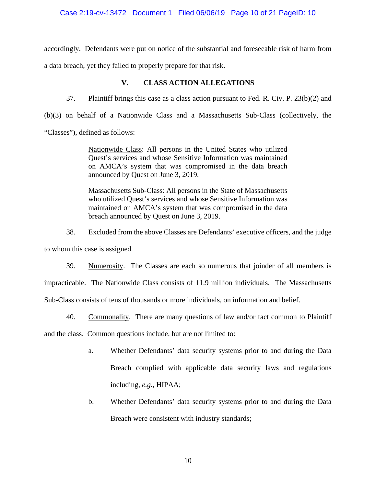## Case 2:19-cv-13472 Document 1 Filed 06/06/19 Page 10 of 21 PageID: 10

accordingly. Defendants were put on notice of the substantial and foreseeable risk of harm from a data breach, yet they failed to properly prepare for that risk.

## **V. CLASS ACTION ALLEGATIONS**

37. Plaintiff brings this case as a class action pursuant to Fed. R. Civ. P. 23(b)(2) and

(b)(3) on behalf of a Nationwide Class and a Massachusetts Sub-Class (collectively, the

"Classes"), defined as follows:

Nationwide Class: All persons in the United States who utilized Quest's services and whose Sensitive Information was maintained on AMCA's system that was compromised in the data breach announced by Quest on June 3, 2019.

Massachusetts Sub-Class: All persons in the State of Massachusetts who utilized Quest's services and whose Sensitive Information was maintained on AMCA's system that was compromised in the data breach announced by Quest on June 3, 2019.

38. Excluded from the above Classes are Defendants' executive officers, and the judge to whom this case is assigned.

39. Numerosity. The Classes are each so numerous that joinder of all members is impracticable. The Nationwide Class consists of 11.9 million individuals. The Massachusetts Sub-Class consists of tens of thousands or more individuals, on information and belief.

40. Commonality. There are many questions of law and/or fact common to Plaintiff

and the class. Common questions include, but are not limited to:

- a. Whether Defendants' data security systems prior to and during the Data Breach complied with applicable data security laws and regulations including, *e.g.*, HIPAA;
- b. Whether Defendants' data security systems prior to and during the Data Breach were consistent with industry standards;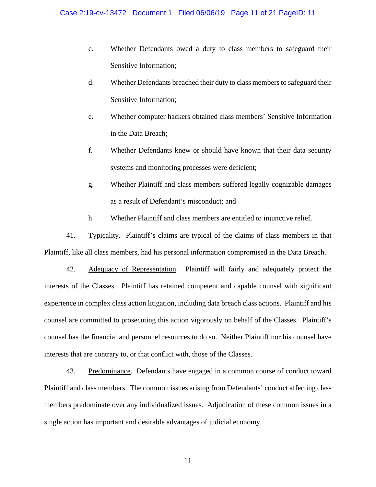- c. Whether Defendants owed a duty to class members to safeguard their Sensitive Information;
- d. Whether Defendants breached their duty to class members to safeguard their Sensitive Information;
- e. Whether computer hackers obtained class members' Sensitive Information in the Data Breach;
- f. Whether Defendants knew or should have known that their data security systems and monitoring processes were deficient;
- g. Whether Plaintiff and class members suffered legally cognizable damages as a result of Defendant's misconduct; and
- h. Whether Plaintiff and class members are entitled to injunctive relief.

41. Typicality. Plaintiff's claims are typical of the claims of class members in that Plaintiff, like all class members, had his personal information compromised in the Data Breach.

42. Adequacy of Representation. Plaintiff will fairly and adequately protect the interests of the Classes. Plaintiff has retained competent and capable counsel with significant experience in complex class action litigation, including data breach class actions. Plaintiff and his counsel are committed to prosecuting this action vigorously on behalf of the Classes. Plaintiff's counsel has the financial and personnel resources to do so. Neither Plaintiff nor his counsel have interests that are contrary to, or that conflict with, those of the Classes.

43. Predominance. Defendants have engaged in a common course of conduct toward Plaintiff and class members. The common issues arising from Defendants' conduct affecting class members predominate over any individualized issues. Adjudication of these common issues in a single action has important and desirable advantages of judicial economy.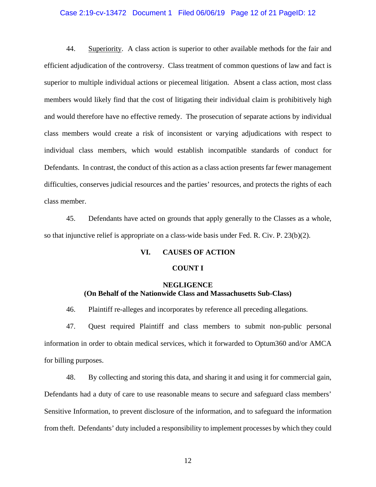### Case 2:19-cv-13472 Document 1 Filed 06/06/19 Page 12 of 21 PageID: 12

44. Superiority. A class action is superior to other available methods for the fair and efficient adjudication of the controversy. Class treatment of common questions of law and fact is superior to multiple individual actions or piecemeal litigation. Absent a class action, most class members would likely find that the cost of litigating their individual claim is prohibitively high and would therefore have no effective remedy. The prosecution of separate actions by individual class members would create a risk of inconsistent or varying adjudications with respect to individual class members, which would establish incompatible standards of conduct for Defendants. In contrast, the conduct of this action as a class action presents far fewer management difficulties, conserves judicial resources and the parties' resources, and protects the rights of each class member.

45. Defendants have acted on grounds that apply generally to the Classes as a whole, so that injunctive relief is appropriate on a class-wide basis under Fed. R. Civ. P. 23(b)(2).

## **VI. CAUSES OF ACTION**

## **COUNT I**

# **NEGLIGENCE (On Behalf of the Nationwide Class and Massachusetts Sub-Class)**

46. Plaintiff re-alleges and incorporates by reference all preceding allegations.

47. Quest required Plaintiff and class members to submit non-public personal information in order to obtain medical services, which it forwarded to Optum360 and/or AMCA for billing purposes.

48. By collecting and storing this data, and sharing it and using it for commercial gain, Defendants had a duty of care to use reasonable means to secure and safeguard class members' Sensitive Information, to prevent disclosure of the information, and to safeguard the information from theft. Defendants' duty included a responsibility to implement processes by which they could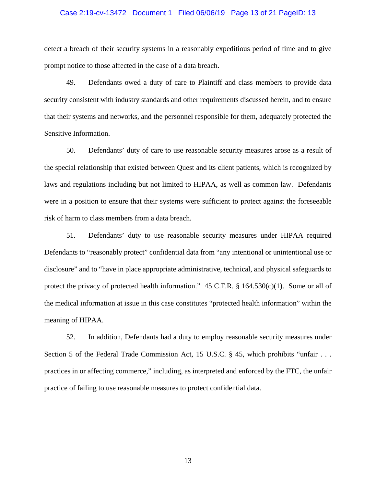### Case 2:19-cv-13472 Document 1 Filed 06/06/19 Page 13 of 21 PageID: 13

detect a breach of their security systems in a reasonably expeditious period of time and to give prompt notice to those affected in the case of a data breach.

49. Defendants owed a duty of care to Plaintiff and class members to provide data security consistent with industry standards and other requirements discussed herein, and to ensure that their systems and networks, and the personnel responsible for them, adequately protected the Sensitive Information.

50. Defendants' duty of care to use reasonable security measures arose as a result of the special relationship that existed between Quest and its client patients, which is recognized by laws and regulations including but not limited to HIPAA, as well as common law. Defendants were in a position to ensure that their systems were sufficient to protect against the foreseeable risk of harm to class members from a data breach.

51. Defendants' duty to use reasonable security measures under HIPAA required Defendants to "reasonably protect" confidential data from "any intentional or unintentional use or disclosure" and to "have in place appropriate administrative, technical, and physical safeguards to protect the privacy of protected health information."  $45$  C.F.R. § 164.530(c)(1). Some or all of the medical information at issue in this case constitutes "protected health information" within the meaning of HIPAA.

52. In addition, Defendants had a duty to employ reasonable security measures under Section 5 of the Federal Trade Commission Act, 15 U.S.C. § 45, which prohibits "unfair . . . practices in or affecting commerce," including, as interpreted and enforced by the FTC, the unfair practice of failing to use reasonable measures to protect confidential data.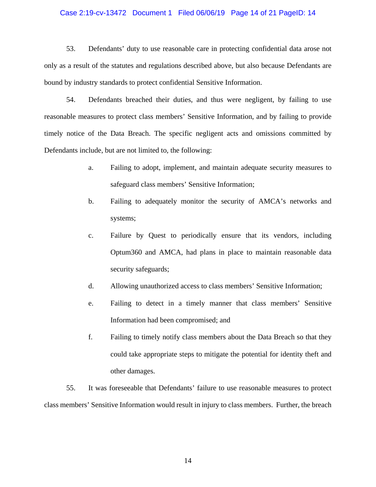### Case 2:19-cv-13472 Document 1 Filed 06/06/19 Page 14 of 21 PageID: 14

53. Defendants' duty to use reasonable care in protecting confidential data arose not only as a result of the statutes and regulations described above, but also because Defendants are bound by industry standards to protect confidential Sensitive Information.

54. Defendants breached their duties, and thus were negligent, by failing to use reasonable measures to protect class members' Sensitive Information, and by failing to provide timely notice of the Data Breach. The specific negligent acts and omissions committed by Defendants include, but are not limited to, the following:

- a. Failing to adopt, implement, and maintain adequate security measures to safeguard class members' Sensitive Information;
- b. Failing to adequately monitor the security of AMCA's networks and systems;
- c. Failure by Quest to periodically ensure that its vendors, including Optum360 and AMCA, had plans in place to maintain reasonable data security safeguards;
- d. Allowing unauthorized access to class members' Sensitive Information;
- e. Failing to detect in a timely manner that class members' Sensitive Information had been compromised; and
- f. Failing to timely notify class members about the Data Breach so that they could take appropriate steps to mitigate the potential for identity theft and other damages.

55. It was foreseeable that Defendants' failure to use reasonable measures to protect class members' Sensitive Information would result in injury to class members. Further, the breach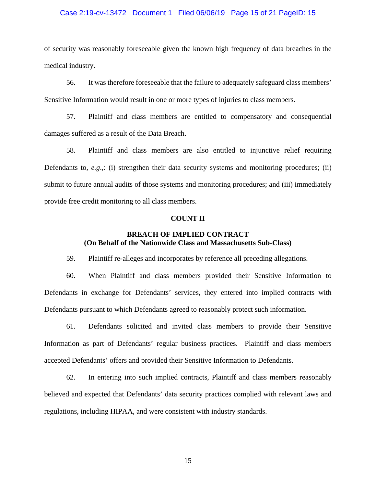### Case 2:19-cv-13472 Document 1 Filed 06/06/19 Page 15 of 21 PageID: 15

of security was reasonably foreseeable given the known high frequency of data breaches in the medical industry.

56. It was therefore foreseeable that the failure to adequately safeguard class members' Sensitive Information would result in one or more types of injuries to class members.

57. Plaintiff and class members are entitled to compensatory and consequential damages suffered as a result of the Data Breach.

58. Plaintiff and class members are also entitled to injunctive relief requiring Defendants to, *e.g*.,: (i) strengthen their data security systems and monitoring procedures; (ii) submit to future annual audits of those systems and monitoring procedures; and (iii) immediately provide free credit monitoring to all class members.

#### **COUNT II**

# **BREACH OF IMPLIED CONTRACT (On Behalf of the Nationwide Class and Massachusetts Sub-Class)**

59. Plaintiff re-alleges and incorporates by reference all preceding allegations.

60. When Plaintiff and class members provided their Sensitive Information to Defendants in exchange for Defendants' services, they entered into implied contracts with Defendants pursuant to which Defendants agreed to reasonably protect such information.

61. Defendants solicited and invited class members to provide their Sensitive Information as part of Defendants' regular business practices. Plaintiff and class members accepted Defendants' offers and provided their Sensitive Information to Defendants.

62. In entering into such implied contracts, Plaintiff and class members reasonably believed and expected that Defendants' data security practices complied with relevant laws and regulations, including HIPAA, and were consistent with industry standards.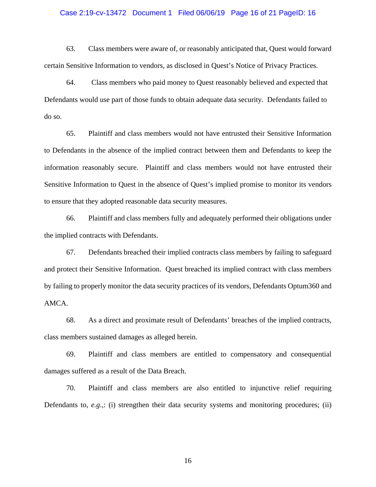### Case 2:19-cv-13472 Document 1 Filed 06/06/19 Page 16 of 21 PageID: 16

63. Class members were aware of, or reasonably anticipated that, Quest would forward certain Sensitive Information to vendors, as disclosed in Quest's Notice of Privacy Practices.

64. Class members who paid money to Quest reasonably believed and expected that Defendants would use part of those funds to obtain adequate data security. Defendants failed to do so.

65. Plaintiff and class members would not have entrusted their Sensitive Information to Defendants in the absence of the implied contract between them and Defendants to keep the information reasonably secure. Plaintiff and class members would not have entrusted their Sensitive Information to Quest in the absence of Quest's implied promise to monitor its vendors to ensure that they adopted reasonable data security measures.

66. Plaintiff and class members fully and adequately performed their obligations under the implied contracts with Defendants.

67. Defendants breached their implied contracts class members by failing to safeguard and protect their Sensitive Information. Quest breached its implied contract with class members by failing to properly monitor the data security practices of its vendors, Defendants Optum360 and AMCA.

68. As a direct and proximate result of Defendants' breaches of the implied contracts, class members sustained damages as alleged herein.

69. Plaintiff and class members are entitled to compensatory and consequential damages suffered as a result of the Data Breach.

70. Plaintiff and class members are also entitled to injunctive relief requiring Defendants to, *e.g*.,: (i) strengthen their data security systems and monitoring procedures; (ii)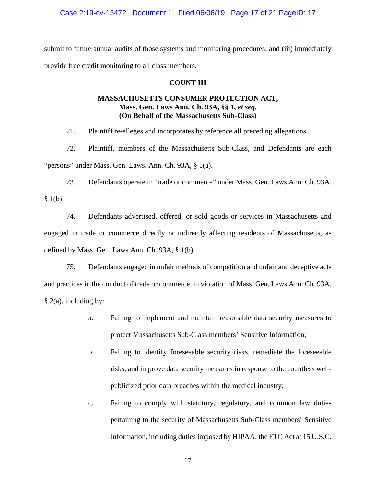Case 2:19-cv-13472 Document 1 Filed 06/06/19 Page 17 of 21 PageID: 17

submit to future annual audits of those systems and monitoring procedures; and (iii) immediately provide free credit monitoring to all class members.

## **COUNT III**

# **MASSACHUSETTS CONSUMER PROTECTION ACT, Mass. Gen. Laws Ann. Ch. 93A, §§ 1,** *et seq***. (On Behalf of the Massachusetts Sub-Class)**

71. Plaintiff re-alleges and incorporates by reference all preceding allegations.

72. Plaintiff, members of the Massachusetts Sub-Class, and Defendants are each "persons" under Mass. Gen. Laws. Ann. Ch. 93A, § 1(a).

73. Defendants operate in "trade or commerce" under Mass. Gen. Laws Ann. Ch. 93A,  $§$  1(b).

74. Defendants advertised, offered, or sold goods or services in Massachusetts and engaged in trade or commerce directly or indirectly affecting residents of Massachusetts, as defined by Mass. Gen. Laws Ann. Ch. 93A, § 1(b).

75. Defendants engaged in unfair methods of competition and unfair and deceptive acts and practices in the conduct of trade or commerce, in violation of Mass. Gen. Laws Ann. Ch. 93A, § 2(a), including by:

- a. Failing to implement and maintain reasonable data security measures to protect Massachusetts Sub-Class members' Sensitive Information;
- b. Failing to identify foreseeable security risks, remediate the foreseeable risks, and improve data security measures in response to the countless wellpublicized prior data breaches within the medical industry;
- c. Failing to comply with statutory, regulatory, and common law duties pertaining to the security of Massachusetts Sub-Class members' Sensitive Information, including duties imposed by HIPAA; the FTC Act at 15 U.S.C.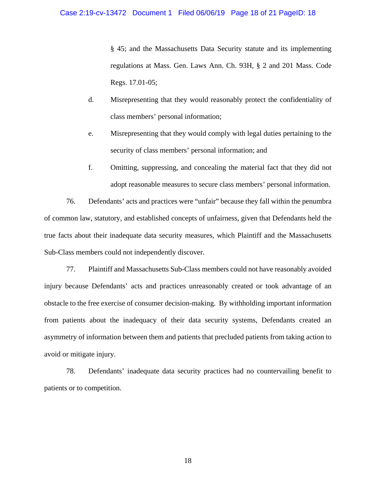§ 45; and the Massachusetts Data Security statute and its implementing regulations at Mass. Gen. Laws Ann. Ch. 93H, § 2 and 201 Mass. Code Regs. 17.01-05;

- d. Misrepresenting that they would reasonably protect the confidentiality of class members' personal information;
- e. Misrepresenting that they would comply with legal duties pertaining to the security of class members' personal information; and
- f. Omitting, suppressing, and concealing the material fact that they did not adopt reasonable measures to secure class members' personal information.

76. Defendants' acts and practices were "unfair" because they fall within the penumbra of common law, statutory, and established concepts of unfairness, given that Defendants held the true facts about their inadequate data security measures, which Plaintiff and the Massachusetts Sub-Class members could not independently discover.

77. Plaintiff and Massachusetts Sub-Class members could not have reasonably avoided injury because Defendants' acts and practices unreasonably created or took advantage of an obstacle to the free exercise of consumer decision-making. By withholding important information from patients about the inadequacy of their data security systems, Defendants created an asymmetry of information between them and patients that precluded patients from taking action to avoid or mitigate injury.

78. Defendants' inadequate data security practices had no countervailing benefit to patients or to competition.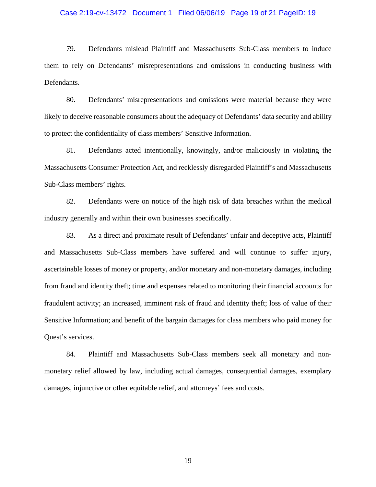### Case 2:19-cv-13472 Document 1 Filed 06/06/19 Page 19 of 21 PageID: 19

79. Defendants mislead Plaintiff and Massachusetts Sub-Class members to induce them to rely on Defendants' misrepresentations and omissions in conducting business with Defendants.

80. Defendants' misrepresentations and omissions were material because they were likely to deceive reasonable consumers about the adequacy of Defendants' data security and ability to protect the confidentiality of class members' Sensitive Information.

81. Defendants acted intentionally, knowingly, and/or maliciously in violating the Massachusetts Consumer Protection Act, and recklessly disregarded Plaintiff's and Massachusetts Sub-Class members' rights.

82. Defendants were on notice of the high risk of data breaches within the medical industry generally and within their own businesses specifically.

83. As a direct and proximate result of Defendants' unfair and deceptive acts, Plaintiff and Massachusetts Sub-Class members have suffered and will continue to suffer injury, ascertainable losses of money or property, and/or monetary and non-monetary damages, including from fraud and identity theft; time and expenses related to monitoring their financial accounts for fraudulent activity; an increased, imminent risk of fraud and identity theft; loss of value of their Sensitive Information; and benefit of the bargain damages for class members who paid money for Quest's services.

84. Plaintiff and Massachusetts Sub-Class members seek all monetary and nonmonetary relief allowed by law, including actual damages, consequential damages, exemplary damages, injunctive or other equitable relief, and attorneys' fees and costs.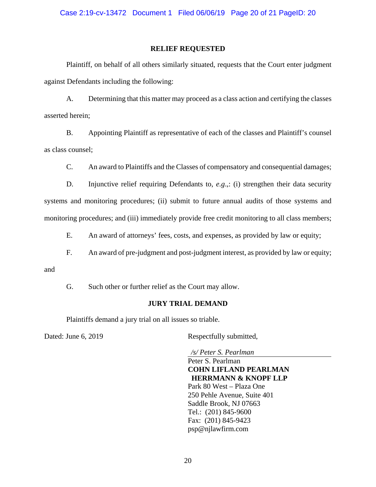Case 2:19-cv-13472 Document 1 Filed 06/06/19 Page 20 of 21 PageID: 20

## **RELIEF REQUESTED**

Plaintiff, on behalf of all others similarly situated, requests that the Court enter judgment against Defendants including the following:

A. Determining that this matter may proceed as a class action and certifying the classes asserted herein;

B. Appointing Plaintiff as representative of each of the classes and Plaintiff's counsel as class counsel;

C. An award to Plaintiffs and the Classes of compensatory and consequential damages;

D. Injunctive relief requiring Defendants to, *e.g.*,: (i) strengthen their data security systems and monitoring procedures; (ii) submit to future annual audits of those systems and monitoring procedures; and (iii) immediately provide free credit monitoring to all class members;

E. An award of attorneys' fees, costs, and expenses, as provided by law or equity;

F. An award of pre-judgment and post-judgment interest, as provided by law or equity;

and

G. Such other or further relief as the Court may allow.

#### **JURY TRIAL DEMAND**

Plaintiffs demand a jury trial on all issues so triable.

Dated: June 6, 2019 Respectfully submitted,

*/s/ Peter S. Pearlman* 

 Peter S. Pearlman **COHN LIFLAND PEARLMAN HERRMANN & KNOPF LLP**  Park 80 West – Plaza One 250 Pehle Avenue, Suite 401 Saddle Brook, NJ 07663 Tel.: (201) 845-9600 Fax: (201) 845-9423 psp@njlawfirm.com